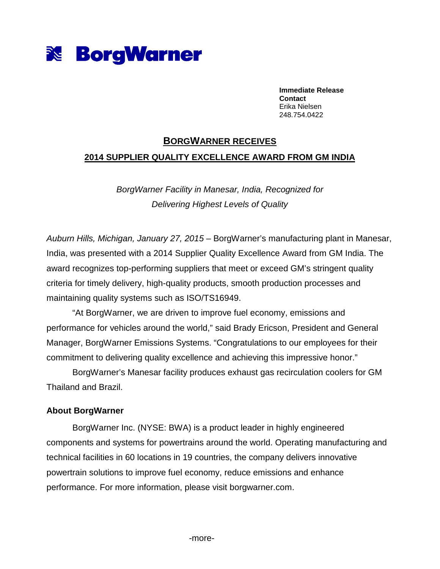

**Immediate Release Contact**  Erika Nielsen 248.754.0422

## **BORGWARNER RECEIVES 2014 SUPPLIER QUALITY EXCELLENCE AWARD FROM GM INDIA**

BorgWarner Facility in Manesar, India, Recognized for Delivering Highest Levels of Quality

Auburn Hills, Michigan, January 27, 2015 – BorgWarner's manufacturing plant in Manesar, India, was presented with a 2014 Supplier Quality Excellence Award from GM India. The award recognizes top-performing suppliers that meet or exceed GM's stringent quality criteria for timely delivery, high-quality products, smooth production processes and maintaining quality systems such as ISO/TS16949.

"At BorgWarner, we are driven to improve fuel economy, emissions and performance for vehicles around the world," said Brady Ericson, President and General Manager, BorgWarner Emissions Systems. "Congratulations to our employees for their commitment to delivering quality excellence and achieving this impressive honor."

BorgWarner's Manesar facility produces exhaust gas recirculation coolers for GM Thailand and Brazil.

## **About BorgWarner**

BorgWarner Inc. (NYSE: BWA) is a product leader in highly engineered components and systems for powertrains around the world. Operating manufacturing and technical facilities in 60 locations in 19 countries, the company delivers innovative powertrain solutions to improve fuel economy, reduce emissions and enhance performance. For more information, please visit borgwarner.com.